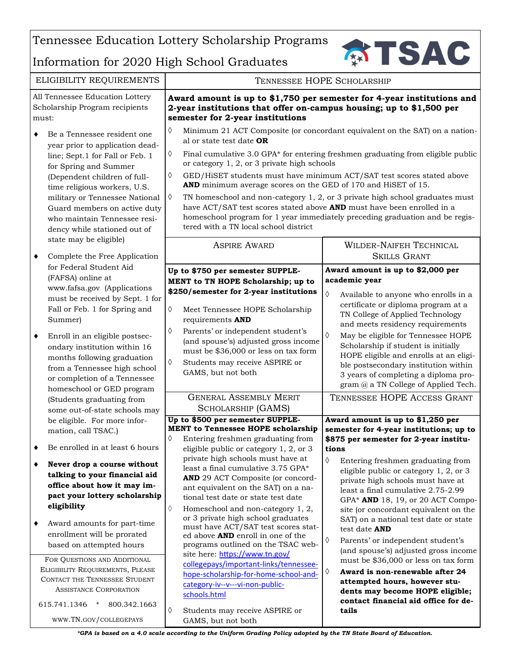Tennessee Education Lottery Scholarship Programs

## Information for 2020 High School Graduates



|                                                                            |                                                                                                                                                                                                                                                                                                                                                                                                                                                                                                                                                   | miormation for 2020 righ School Graduates                                                                                                                                                                                                                                                                                                                                                                                                                                                                                                                                                                                                                                                                                                                                                                     |                                                                                                                                                                                                                                                                                                                                                                                                                                                                                                                                                                                                                                                                                                                                                  |
|----------------------------------------------------------------------------|---------------------------------------------------------------------------------------------------------------------------------------------------------------------------------------------------------------------------------------------------------------------------------------------------------------------------------------------------------------------------------------------------------------------------------------------------------------------------------------------------------------------------------------------------|---------------------------------------------------------------------------------------------------------------------------------------------------------------------------------------------------------------------------------------------------------------------------------------------------------------------------------------------------------------------------------------------------------------------------------------------------------------------------------------------------------------------------------------------------------------------------------------------------------------------------------------------------------------------------------------------------------------------------------------------------------------------------------------------------------------|--------------------------------------------------------------------------------------------------------------------------------------------------------------------------------------------------------------------------------------------------------------------------------------------------------------------------------------------------------------------------------------------------------------------------------------------------------------------------------------------------------------------------------------------------------------------------------------------------------------------------------------------------------------------------------------------------------------------------------------------------|
|                                                                            | ELIGIBILITY REQUIREMENTS                                                                                                                                                                                                                                                                                                                                                                                                                                                                                                                          | TENNESSEE HOPE SCHOLARSHIP                                                                                                                                                                                                                                                                                                                                                                                                                                                                                                                                                                                                                                                                                                                                                                                    |                                                                                                                                                                                                                                                                                                                                                                                                                                                                                                                                                                                                                                                                                                                                                  |
| All Tennessee Education Lottery<br>Scholarship Program recipients<br>must: |                                                                                                                                                                                                                                                                                                                                                                                                                                                                                                                                                   | Award amount is up to \$1,750 per semester for 4-year institutions and<br>2-year institutions that offer on-campus housing; up to \$1,500 per<br>semester for 2-year institutions                                                                                                                                                                                                                                                                                                                                                                                                                                                                                                                                                                                                                             |                                                                                                                                                                                                                                                                                                                                                                                                                                                                                                                                                                                                                                                                                                                                                  |
| ٠                                                                          | Be a Tennessee resident one<br>year prior to application dead-<br>line; Sept.1 for Fall or Feb. 1<br>for Spring and Summer<br>(Dependent children of full-<br>time religious workers, U.S.<br>military or Tennessee National<br>Guard members on active duty<br>who maintain Tennessee resi-<br>dency while stationed out of<br>state may be eligible)                                                                                                                                                                                            | ♦<br>al or state test date <b>OR</b><br>♦<br>or category 1, 2, or 3 private high schools<br>♦<br>AND minimum average scores on the GED of 170 and HiSET of 15.<br>♦<br>have ACT/SAT test scores stated above AND must have been enrolled in a<br>tered with a TN local school district                                                                                                                                                                                                                                                                                                                                                                                                                                                                                                                        | Minimum 21 ACT Composite (or concordant equivalent on the SAT) on a nation-<br>Final cumulative 3.0 GPA* for entering freshmen graduating from eligible public<br>GED/HiSET students must have minimum ACT/SAT test scores stated above<br>TN homeschool and non-category 1, 2, or 3 private high school graduates must<br>homeschool program for 1 year immediately preceding graduation and be regis-                                                                                                                                                                                                                                                                                                                                          |
|                                                                            |                                                                                                                                                                                                                                                                                                                                                                                                                                                                                                                                                   | <b>ASPIRE AWARD</b>                                                                                                                                                                                                                                                                                                                                                                                                                                                                                                                                                                                                                                                                                                                                                                                           | <b>WILDER-NAIFEH TECHNICAL</b>                                                                                                                                                                                                                                                                                                                                                                                                                                                                                                                                                                                                                                                                                                                   |
| ٠                                                                          | Complete the Free Application<br>for Federal Student Aid                                                                                                                                                                                                                                                                                                                                                                                                                                                                                          | Up to \$750 per semester SUPPLE-                                                                                                                                                                                                                                                                                                                                                                                                                                                                                                                                                                                                                                                                                                                                                                              | <b>SKILLS GRANT</b><br>Award amount is up to \$2,000 per                                                                                                                                                                                                                                                                                                                                                                                                                                                                                                                                                                                                                                                                                         |
| ٠                                                                          | (FAFSA) online at<br>www.fafsa.gov (Applications<br>must be received by Sept. 1 for<br>Fall or Feb. 1 for Spring and<br>Summer)<br>Enroll in an eligible postsec-<br>ondary institution within 16<br>months following graduation<br>from a Tennessee high school<br>or completion of a Tennessee<br>homeschool or GED program<br>(Students graduating from                                                                                                                                                                                        | MENT to TN HOPE Scholarship; up to<br>\$250/semester for 2-year institutions<br>♦<br>Meet Tennessee HOPE Scholarship<br>requirements AND<br>♦<br>Parents' or independent student's<br>(and spouse's) adjusted gross income<br>must be \$36,000 or less on tax form<br>♦<br>Students may receive ASPIRE or<br>GAMS, but not both<br><b>GENERAL ASSEMBLY MERIT</b>                                                                                                                                                                                                                                                                                                                                                                                                                                              | academic year<br>♦<br>Available to anyone who enrolls in a<br>certificate or diploma program at a<br>TN College of Applied Technology<br>and meets residency requirements<br>♦<br>May be eligible for Tennessee HOPE<br>Scholarship if student is initially<br>HOPE eligible and enrolls at an eligi-<br>ble postsecondary institution within<br>3 years of completing a diploma pro-<br>gram @ a TN College of Applied Tech.<br>TENNESSEE HOPE ACCESS GRANT                                                                                                                                                                                                                                                                                     |
| ٠<br>٠<br>٠                                                                | some out-of-state schools may<br>be eligible. For more infor-<br>mation, call TSAC.)<br>Be enrolled in at least 6 hours<br>Never drop a course without<br>talking to your financial aid<br>office about how it may im-<br>pact your lottery scholarship<br>eligibility<br>Award amounts for part-time<br>enrollment will be prorated<br>based on attempted hours<br>FOR QUESTIONS AND ADDITIONAL<br>ELIGIBILITY REQUIREMENTS, PLEASE<br>CONTACT THE TENNESSEE STUDENT<br><b>ASSISTANCE CORPORATION</b><br>615.741.1346<br>800.342.1663<br>$\star$ | SCHOLARSHIP (GAMS)<br>Up to \$500 per semester SUPPLE-<br><b>MENT to Tennessee HOPE scholarship</b><br>♦<br>Entering freshmen graduating from<br>eligible public or category 1, 2, or 3<br>private high schools must have at<br>least a final cumulative 3.75 GPA*<br>AND 29 ACT Composite (or concord-<br>ant equivalent on the SAT) on a na-<br>tional test date or state test date<br>Homeschool and non-category 1, 2,<br>♦<br>or 3 private high school graduates<br>must have ACT/SAT test scores stat-<br>ed above <b>AND</b> enroll in one of the<br>programs outlined on the TSAC web-<br>site here: https://www.tn.gov/<br>collegepays/important-links/tennessee-<br>hope-scholarship-for-home-school-and-<br>category-iv--v---vi-non-public-<br>schools.html<br>♦<br>Students may receive ASPIRE or | Award amount is up to \$1,250 per<br>semester for 4-year institutions; up to<br>\$875 per semester for 2-year institu-<br>tions<br>♦<br>Entering freshmen graduating from<br>eligible public or category $1, 2$ , or 3<br>private high schools must have at<br>least a final cumulative 2.75-2.99<br>GPA* AND 18, 19, or 20 ACT Compo-<br>site (or concordant equivalent on the<br>SAT) on a national test date or state<br>test date <b>AND</b><br>♦<br>Parents' or independent student's<br>(and spouse's) adjusted gross income<br>must be \$36,000 or less on tax form<br>$\Diamond$<br>Award is non-renewable after 24<br>attempted hours, however stu-<br>dents may become HOPE eligible;<br>contact financial aid office for de-<br>tails |
|                                                                            | WWW.TN.GOV/COLLEGEPAYS                                                                                                                                                                                                                                                                                                                                                                                                                                                                                                                            | GAMS, but not both                                                                                                                                                                                                                                                                                                                                                                                                                                                                                                                                                                                                                                                                                                                                                                                            |                                                                                                                                                                                                                                                                                                                                                                                                                                                                                                                                                                                                                                                                                                                                                  |
|                                                                            |                                                                                                                                                                                                                                                                                                                                                                                                                                                                                                                                                   | *GPA is based on a 4.0 scale according to the Uniform Grading Policy adopted by the TN State Board of Education.                                                                                                                                                                                                                                                                                                                                                                                                                                                                                                                                                                                                                                                                                              |                                                                                                                                                                                                                                                                                                                                                                                                                                                                                                                                                                                                                                                                                                                                                  |